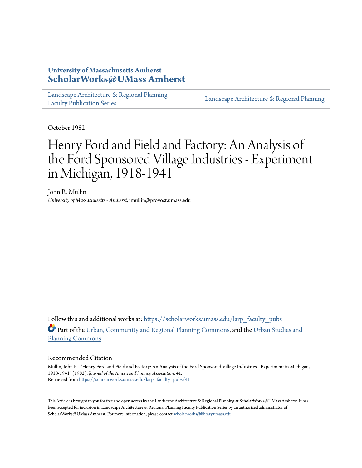## **University of Massachusetts Amherst [ScholarWorks@UMass Amherst](https://scholarworks.umass.edu?utm_source=scholarworks.umass.edu%2Flarp_faculty_pubs%2F41&utm_medium=PDF&utm_campaign=PDFCoverPages)**

[Landscape Architecture & Regional Planning](https://scholarworks.umass.edu/larp_faculty_pubs?utm_source=scholarworks.umass.edu%2Flarp_faculty_pubs%2F41&utm_medium=PDF&utm_campaign=PDFCoverPages) [Faculty Publication Series](https://scholarworks.umass.edu/larp_faculty_pubs?utm_source=scholarworks.umass.edu%2Flarp_faculty_pubs%2F41&utm_medium=PDF&utm_campaign=PDFCoverPages)

[Landscape Architecture & Regional Planning](https://scholarworks.umass.edu/larp?utm_source=scholarworks.umass.edu%2Flarp_faculty_pubs%2F41&utm_medium=PDF&utm_campaign=PDFCoverPages)

October 1982

# Henry Ford and Field and Factory: An Analysis of the Ford Sponsored Village Industries - Experiment in Michigan, 1918-1941

John R. Mullin *University of Massachusetts - Amherst*, jmullin@provost.umass.edu

Follow this and additional works at: [https://scholarworks.umass.edu/larp\\_faculty\\_pubs](https://scholarworks.umass.edu/larp_faculty_pubs?utm_source=scholarworks.umass.edu%2Flarp_faculty_pubs%2F41&utm_medium=PDF&utm_campaign=PDFCoverPages) Part of the [Urban, Community and Regional Planning Commons](http://network.bepress.com/hgg/discipline/776?utm_source=scholarworks.umass.edu%2Flarp_faculty_pubs%2F41&utm_medium=PDF&utm_campaign=PDFCoverPages), and the [Urban Studies and](http://network.bepress.com/hgg/discipline/436?utm_source=scholarworks.umass.edu%2Flarp_faculty_pubs%2F41&utm_medium=PDF&utm_campaign=PDFCoverPages) [Planning Commons](http://network.bepress.com/hgg/discipline/436?utm_source=scholarworks.umass.edu%2Flarp_faculty_pubs%2F41&utm_medium=PDF&utm_campaign=PDFCoverPages)

#### Recommended Citation

Mullin, John R., "Henry Ford and Field and Factory: An Analysis of the Ford Sponsored Village Industries - Experiment in Michigan, 1918-1941" (1982). *Journal of the American Planning Association*. 41. Retrieved from [https://scholarworks.umass.edu/larp\\_faculty\\_pubs/41](https://scholarworks.umass.edu/larp_faculty_pubs/41?utm_source=scholarworks.umass.edu%2Flarp_faculty_pubs%2F41&utm_medium=PDF&utm_campaign=PDFCoverPages)

This Article is brought to you for free and open access by the Landscape Architecture & Regional Planning at ScholarWorks@UMass Amherst. It has been accepted for inclusion in Landscape Architecture & Regional Planning Faculty Publication Series by an authorized administrator of ScholarWorks@UMass Amherst. For more information, please contact [scholarworks@library.umass.edu.](mailto:scholarworks@library.umass.edu)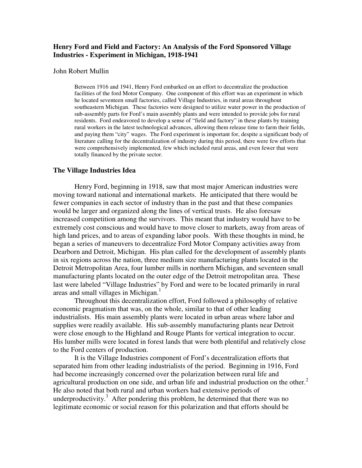### **Henry Ford and Field and Factory: An Analysis of the Ford Sponsored Village Industries - Experiment in Michigan, 1918-1941**

#### John Robert Mullin

Between 1916 and 1941, Henry Ford embarked on an effort to decentralize the production facilities of the ford Motor Company. One component of this effort was an experiment in which he located seventeen small factories, called Village Industries, in rural areas throughout southeastern Michigan. These factories were designed to utilize water power in the production of sub-assembly parts for Ford's main assembly plants and were intended to provide jobs for rural residents. Ford endeavored to develop a sense of "field and factory" in these plants by training rural workers in the latest technological advances, allowing them release time to farm their fields, and paying them "city" wages. The Ford experiment is important for, despite a significant body of literature calling for the decentralization of industry during this period, there were few efforts that were comprehensively implemented, few which included rural areas, and even fewer that were totally financed by the private sector.

#### **The Village Industries Idea**

Henry Ford, beginning in 1918, saw that most major American industries were moving toward national and international markets. He anticipated that there would be fewer companies in each sector of industry than in the past and that these companies would be larger and organized along the lines of vertical trusts. He also foresaw increased competition among the survivors. This meant that industry would have to be extremely cost conscious and would have to move closer to markets, away from areas of high land prices, and to areas of expanding labor pools. With these thoughts in mind, he began a series of maneuvers to decentralize Ford Motor Company activities away from Dearborn and Detroit, Michigan. His plan called for the development of assembly plants in six regions across the nation, three medium size manufacturing plants located in the Detroit Metropolitan Area, four lumber mills in northern Michigan, and seventeen small manufacturing plants located on the outer edge of the Detroit metropolitan area. These last were labeled "Village Industries" by Ford and were to be located primarily in rural areas and small villages in Michigan. $<sup>1</sup>$ </sup>

 Throughout this decentralization effort, Ford followed a philosophy of relative economic pragmatism that was, on the whole, similar to that of other leading industrialists. His main assembly plants were located in urban areas where labor and supplies were readily available. His sub-assembly manufacturing plants near Detroit were close enough to the Highland and Rouge Plants for vertical integration to occur. His lumber mills were located in forest lands that were both plentiful and relatively close to the Ford centers of production.

 It is the Village Industries component of Ford's decentralization efforts that separated him from other leading industrialists of the period. Beginning in 1916, Ford had become increasingly concerned over the polarization between rural life and agricultural production on one side, and urban life and industrial production on the other. $<sup>2</sup>$ </sup> He also noted that both rural and urban workers had extensive periods of underproductivity.<sup>3</sup> After pondering this problem, he determined that there was no legitimate economic or social reason for this polarization and that efforts should be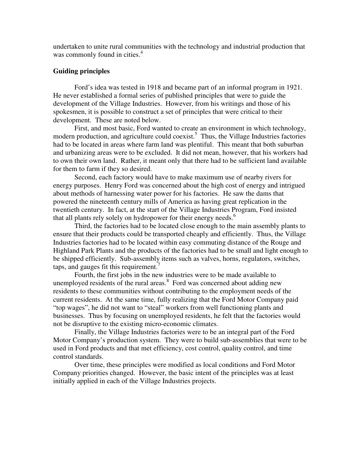undertaken to unite rural communities with the technology and industrial production that was commonly found in cities.<sup>4</sup>

#### **Guiding principles**

 Ford's idea was tested in 1918 and became part of an informal program in 1921. He never established a formal series of published principles that were to guide the development of the Village Industries. However, from his writings and those of his spokesmen, it is possible to construct a set of principles that were critical to their development. These are noted below.

 First, and most basic, Ford wanted to create an environment in which technology, modern production, and agriculture could coexist.<sup>5</sup> Thus, the Village Industries factories had to be located in areas where farm land was plentiful. This meant that both suburban and urbanizing areas were to be excluded. It did not mean, however, that his workers had to own their own land. Rather, it meant only that there had to be sufficient land available for them to farm if they so desired.

 Second, each factory would have to make maximum use of nearby rivers for energy purposes. Henry Ford was concerned about the high cost of energy and intrigued about methods of harnessing water power for his factories. He saw the dams that powered the nineteenth century mills of America as having great replication in the twentieth century. In fact, at the start of the Village Industries Program, Ford insisted that all plants rely solely on hydropower for their energy needs.<sup>6</sup>

 Third, the factories had to be located close enough to the main assembly plants to ensure that their products could be transported cheaply and efficiently. Thus, the Village Industries factories had to be located within easy commuting distance of the Rouge and Highland Park Plants and the products of the factories had to be small and light enough to be shipped efficiently. Sub-assembly items such as valves, horns, regulators, switches, taps, and gauges fit this requirement.<sup>7</sup>

 Fourth, the first jobs in the new industries were to be made available to unemployed residents of the rural areas. $8$  Ford was concerned about adding new residents to these communities without contributing to the employment needs of the current residents. At the same time, fully realizing that the Ford Motor Company paid "top wages", he did not want to "steal" workers from well functioning plants and businesses. Thus by focusing on unemployed residents, he felt that the factories would not be disruptive to the existing micro-economic climates.

 Finally, the Village Industries factories were to be an integral part of the Ford Motor Company's production system. They were to build sub-assemblies that were to be used in Ford products and that met efficiency, cost control, quality control, and time control standards.

 Over time, these principles were modified as local conditions and Ford Motor Company priorities changed. However, the basic intent of the principles was at least initially applied in each of the Village Industries projects.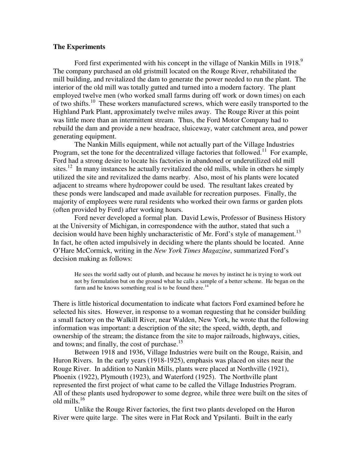#### **The Experiments**

Ford first experimented with his concept in the village of Nankin Mills in 1918.<sup>9</sup> The company purchased an old gristmill located on the Rouge River, rehabilitated the mill building, and revitalized the dam to generate the power needed to run the plant. The interior of the old mill was totally gutted and turned into a modern factory. The plant employed twelve men (who worked small farms during off work or down times) on each of two shifts.<sup>10</sup> These workers manufactured screws, which were easily transported to the Highland Park Plant, approximately twelve miles away. The Rouge River at this point was little more than an intermittent stream. Thus, the Ford Motor Company had to rebuild the dam and provide a new headrace, sluiceway, water catchment area, and power generating equipment.

 The Nankin Mills equipment, while not actually part of the Village Industries Program, set the tone for the decentralized village factories that followed.<sup>11</sup> For example, Ford had a strong desire to locate his factories in abandoned or underutilized old mill sites.<sup>12</sup> In many instances he actually revitalized the old mills, while in others he simply utilized the site and revitalized the dams nearby. Also, most of his plants were located adjacent to streams where hydropower could be used. The resultant lakes created by these ponds were landscaped and made available for recreation purposes. Finally, the majority of employees were rural residents who worked their own farms or garden plots (often provided by Ford) after working hours.

 Ford never developed a formal plan. David Lewis, Professor of Business History at the University of Michigan, in correspondence with the author, stated that such a decision would have been highly uncharacteristic of Mr. Ford's style of management.<sup>13</sup> In fact, he often acted impulsively in deciding where the plants should be located. Anne O'Hare McCormick, writing in the *New York Times Magazine*, summarized Ford's decision making as follows:

He sees the world sadly out of plumb, and because he moves by instinct he is trying to work out not by formulation but on the ground what he calls a sample of a better scheme. He began on the farm and he knows something real is to be found there.<sup>14</sup>

There is little historical documentation to indicate what factors Ford examined before he selected his sites. However, in response to a woman requesting that he consider building a small factory on the Walkill River, near Walden, New York, he wrote that the following information was important: a description of the site; the speed, width, depth, and ownership of the stream; the distance from the site to major railroads, highways, cities, and towns; and finally, the cost of purchase.<sup>15</sup>

 Between 1918 and 1936, Village Industries were built on the Rouge, Raisin, and Huron Rivers. In the early years (1918-1925), emphasis was placed on sites near the Rouge River. In addition to Nankin Mills, plants were placed at Northville (1921), Phoenix (1922), Plymouth (1923), and Waterford (1925). The Northville plant represented the first project of what came to be called the Village Industries Program. All of these plants used hydropower to some degree, while three were built on the sites of old mills.<sup>16</sup>

 Unlike the Rouge River factories, the first two plants developed on the Huron River were quite large. The sites were in Flat Rock and Ypsilanti. Built in the early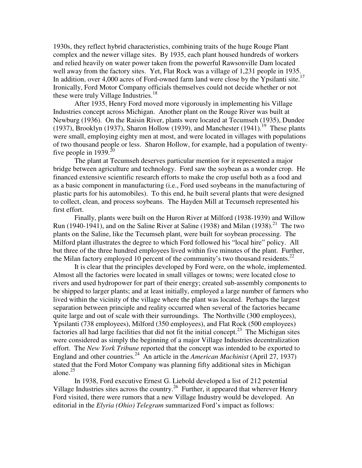1930s, they reflect hybrid characteristics, combining traits of the huge Rouge Plant complex and the newer village sites. By 1935, each plant housed hundreds of workers and relied heavily on water power taken from the powerful Rawsonville Dam located well away from the factory sites. Yet, Flat Rock was a village of 1,231 people in 1935. In addition, over 4,000 acres of Ford-owned farm land were close by the Ypsilanti site.<sup>17</sup> Ironically, Ford Motor Company officials themselves could not decide whether or not these were truly Village Industries.<sup>18</sup>

 After 1935, Henry Ford moved more vigorously in implementing his Village Industries concept across Michigan. Another plant on the Rouge River was built at Newburg (1936). On the Raisin River, plants were located at Tecumseh (1935), Dundee (1937), Brooklyn (1937), Sharon Hollow (1939), and Manchester (1941).<sup>19</sup> These plants were small, employing eighty men at most, and were located in villages with populations of two thousand people or less. Sharon Hollow, for example, had a population of twentyfive people in 1939. $^{20}$ 

 The plant at Tecumseh deserves particular mention for it represented a major bridge between agriculture and technology. Ford saw the soybean as a wonder crop. He financed extensive scientific research efforts to make the crop useful both as a food and as a basic component in manufacturing (i.e., Ford used soybeans in the manufacturing of plastic parts for his automobiles). To this end, he built several plants that were designed to collect, clean, and process soybeans. The Hayden Mill at Tecumseh represented his first effort.

 Finally, plants were built on the Huron River at Milford (1938-1939) and Willow Run (1940-1941), and on the Saline River at Saline (1938) and Milan (1938).<sup>21</sup> The two plants on the Saline, like the Tecumseh plant, were built for soybean processing. The Milford plant illustrates the degree to which Ford followed his "local hire" policy. All but three of the three hundred employees lived within five minutes of the plant. Further, the Milan factory employed 10 percent of the community's two thousand residents.<sup>22</sup>

 It is clear that the principles developed by Ford were, on the whole, implemented. Almost all the factories were located in small villages or towns; were located close to rivers and used hydropower for part of their energy; created sub-assembly components to be shipped to larger plants; and at least initially, employed a large number of farmers who lived within the vicinity of the village where the plant was located. Perhaps the largest separation between principle and reality occurred when several of the factories became quite large and out of scale with their surroundings. The Northville (300 employees), Ypsilanti (738 employees), Milford (350 employees), and Flat Rock (500 employees) factories all had large facilities that did not fit the initial concept.<sup>23</sup> The Michigan sites were considered as simply the beginning of a major Village Industries decentralization effort. The *New York Tribune* reported that the concept was intended to be exported to England and other countries.<sup>24</sup> An article in the *American Machinist* (April 27, 1937) stated that the Ford Motor Company was planning fifty additional sites in Michigan alone.<sup>25</sup>

 In 1938, Ford executive Ernest G. Liebold developed a list of 212 potential Village Industries sites across the country.<sup>26</sup> Further, it appeared that wherever Henry Ford visited, there were rumors that a new Village Industry would be developed. An editorial in the *Elyria (Ohio) Telegram* summarized Ford's impact as follows: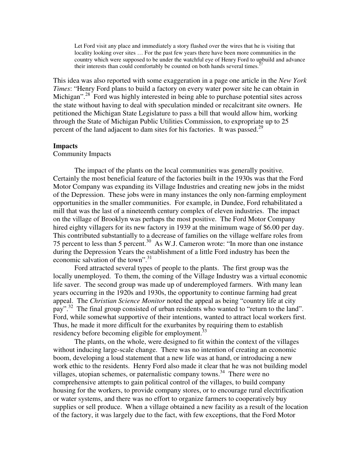Let Ford visit any place and immediately a story flashed over the wires that he is visiting that locality looking over sites … For the past few years there have been more communities in the country which were supposed to be under the watchful eye of Henry Ford to upbuild and advance their interests than could comfortably be counted on both hands several times.<sup>2</sup>

This idea was also reported with some exaggeration in a page one article in the *New York Times*: "Henry Ford plans to build a factory on every water power site he can obtain in Michigan".<sup>28</sup> Ford was highly interested in being able to purchase potential sites across the state without having to deal with speculation minded or recalcitrant site owners. He petitioned the Michigan State Legislature to pass a bill that would allow him, working through the State of Michigan Public Utilities Commission, to expropriate up to 25 percent of the land adjacent to dam sites for his factories. It was passed.<sup>29</sup>

#### **Impacts**

#### Community Impacts

 The impact of the plants on the local communities was generally positive. Certainly the most beneficial feature of the factories built in the 1930s was that the Ford Motor Company was expanding its Village Industries and creating new jobs in the midst of the Depression. These jobs were in many instances the only non-farming employment opportunities in the smaller communities. For example, in Dundee, Ford rehabilitated a mill that was the last of a nineteenth century complex of eleven industries. The impact on the village of Brooklyn was perhaps the most positive. The Ford Motor Company hired eighty villagers for its new factory in 1939 at the minimum wage of \$6.00 per day. This contributed substantially to a decrease of families on the village welfare roles from 75 percent to less than 5 percent.<sup>30</sup> As W.J. Cameron wrote: "In more than one instance during the Depression Years the establishment of a little Ford industry has been the economic salvation of the town".<sup>31</sup>

 Ford attracted several types of people to the plants. The first group was the locally unemployed. To them, the coming of the Village Industry was a virtual economic life saver. The second group was made up of underemployed farmers. With many lean years occurring in the 1920s and 1930s, the opportunity to continue farming had great appeal. The *Christian Science Monitor* noted the appeal as being "country life at city pay".<sup>32</sup> The final group consisted of urban residents who wanted to "return to the land". Ford, while somewhat supportive of their intentions, wanted to attract local workers first. Thus, he made it more difficult for the exurbanites by requiring them to establish residency before becoming eligible for employment.<sup>33</sup>

 The plants, on the whole, were designed to fit within the context of the villages without inducing large-scale change. There was no intention of creating an economic boom, developing a loud statement that a new life was at hand, or introducing a new work ethic to the residents. Henry Ford also made it clear that he was not building model villages, utopian schemes, or paternalistic company towns.<sup>34</sup> There were no comprehensive attempts to gain political control of the villages, to build company housing for the workers, to provide company stores, or to encourage rural electrification or water systems, and there was no effort to organize farmers to cooperatively buy supplies or sell produce. When a village obtained a new facility as a result of the location of the factory, it was largely due to the fact, with few exceptions, that the Ford Motor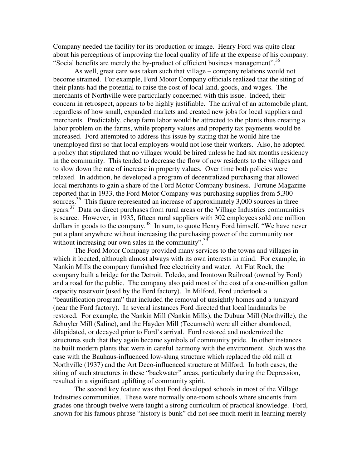Company needed the facility for its production or image. Henry Ford was quite clear about his perceptions of improving the local quality of life at the expense of his company: "Social benefits are merely the by-product of efficient business management".<sup>35</sup>

 As well, great care was taken such that village – company relations would not become strained. For example, Ford Motor Company officials realized that the siting of their plants had the potential to raise the cost of local land, goods, and wages. The merchants of Northville were particularly concerned with this issue. Indeed, their concern in retrospect, appears to be highly justifiable. The arrival of an automobile plant, regardless of how small, expanded markets and created new jobs for local suppliers and merchants. Predictably, cheap farm labor would be attracted to the plants thus creating a labor problem on the farms, while property values and property tax payments would be increased. Ford attempted to address this issue by stating that he would hire the unemployed first so that local employers would not lose their workers. Also, he adopted a policy that stipulated that no villager would be hired unless he had six months residency in the community. This tended to decrease the flow of new residents to the villages and to slow down the rate of increase in property values. Over time both policies were relaxed. In addition, he developed a program of decentralized purchasing that allowed local merchants to gain a share of the Ford Motor Company business. Fortune Magazine reported that in 1933, the Ford Motor Company was purchasing supplies from 5,300 sources.<sup>36</sup> This figure represented an increase of approximately 3,000 sources in three years.<sup>37</sup> Data on direct purchases from rural areas or the Village Industries communities is scarce. However, in 1935, fifteen rural suppliers with 302 employees sold one million dollars in goods to the company.<sup>38</sup> In sum, to quote Henry Ford himself, "We have never put a plant anywhere without increasing the purchasing power of the community nor without increasing our own sales in the community".<sup>39</sup>

 The Ford Motor Company provided many services to the towns and villages in which it located, although almost always with its own interests in mind. For example, in Nankin Mills the company furnished free electricity and water. At Flat Rock, the company built a bridge for the Detroit, Toledo, and Irontown Railroad (owned by Ford) and a road for the public. The company also paid most of the cost of a one-million gallon capacity reservoir (used by the Ford factory). In Milford, Ford undertook a "beautification program" that included the removal of unsightly homes and a junkyard (near the Ford factory). In several instances Ford directed that local landmarks be restored. For example, the Nankin Mill (Nankin Mills), the Dubuar Mill (Northville), the Schuyler Mill (Saline), and the Hayden Mill (Tecumseh) were all either abandoned, dilapidated, or decayed prior to Ford's arrival. Ford restored and modernized the structures such that they again became symbols of community pride. In other instances he built modern plants that were in careful harmony with the environment. Such was the case with the Bauhaus-influenced low-slung structure which replaced the old mill at Northville (1937) and the Art Deco-influenced structure at Milford. In both cases, the siting of such structures in these "backwater" areas, particularly during the Depression, resulted in a significant uplifting of community spirit.

 The second key feature was that Ford developed schools in most of the Village Industries communities. These were normally one-room schools where students from grades one through twelve were taught a strong curriculum of practical knowledge. Ford, known for his famous phrase "history is bunk" did not see much merit in learning merely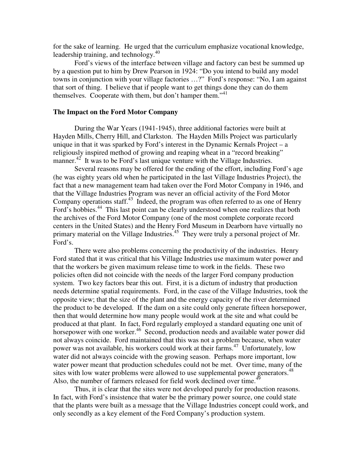for the sake of learning. He urged that the curriculum emphasize vocational knowledge, leadership training, and technology.<sup>40</sup>

 Ford's views of the interface between village and factory can best be summed up by a question put to him by Drew Pearson in 1924: "Do you intend to build any model towns in conjunction with your village factories …?" Ford's response: "No, I am against that sort of thing. I believe that if people want to get things done they can do them themselves. Cooperate with them, but don't hamper them."<sup>41</sup>

#### **The Impact on the Ford Motor Company**

 During the War Years (1941-1945), three additional factories were built at Hayden Mills, Cherry Hill, and Clarkston. The Hayden Mills Project was particularly unique in that it was sparked by Ford's interest in the Dynamic Kernals Project – a religiously inspired method of growing and reaping wheat in a "record breaking" manner.<sup>42</sup> It was to be Ford's last unique venture with the Village Industries.

 Several reasons may be offered for the ending of the effort, including Ford's age (he was eighty years old when he participated in the last Village Industries Project), the fact that a new management team had taken over the Ford Motor Company in 1946, and that the Village Industries Program was never an official activity of the Ford Motor Company operations staff. $43$  Indeed, the program was often referred to as one of Henry Ford's hobbies.<sup>44</sup> This last point can be clearly understood when one realizes that both the archives of the Ford Motor Company (one of the most complete corporate record centers in the United States) and the Henry Ford Museum in Dearborn have virtually no primary material on the Village Industries.<sup>45</sup> They were truly a personal project of Mr. Ford's.

 There were also problems concerning the productivity of the industries. Henry Ford stated that it was critical that his Village Industries use maximum water power and that the workers be given maximum release time to work in the fields. These two policies often did not coincide with the needs of the larger Ford company production system. Two key factors bear this out. First, it is a dictum of industry that production needs determine spatial requirements. Ford, in the case of the Village Industries, took the opposite view; that the size of the plant and the energy capacity of the river determined the product to be developed. If the dam on a site could only generate fifteen horsepower, then that would determine how many people would work at the site and what could be produced at that plant. In fact, Ford regularly employed a standard equating one unit of horsepower with one worker.<sup>46</sup> Second, production needs and available water power did not always coincide. Ford maintained that this was not a problem because, when water power was not available, his workers could work at their farms.<sup>47</sup> Unfortunately, low water did not always coincide with the growing season. Perhaps more important, low water power meant that production schedules could not be met. Over time, many of the sites with low water problems were allowed to use supplemental power generators.<sup>48</sup> Also, the number of farmers released for field work declined over time.<sup>4</sup>

 Thus, it is clear that the sites were not developed purely for production reasons. In fact, with Ford's insistence that water be the primary power source, one could state that the plants were built as a message that the Village Industries concept could work, and only secondly as a key element of the Ford Company's production system.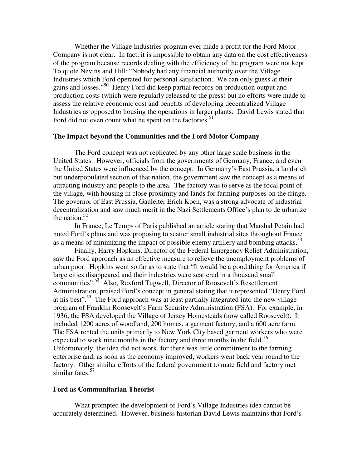Whether the Village Industries program ever made a profit for the Ford Motor Company is not clear. In fact, it is impossible to obtain any data on the cost effectiveness of the program because records dealing with the efficiency of the program were not kept. To quote Nevins and Hill: "Nobody had any financial authority over the Village Industries which Ford operated for personal satisfaction. We can only guess at their gains and losses."<sup>50</sup> Henry Ford did keep partial records on production output and production costs (which were regularly released to the press) but no efforts were made to assess the relative economic cost and benefits of developing decentralized Village Industries as opposed to housing the operations in larger plants. David Lewis stated that Ford did not even count what he spent on the factories.<sup>51</sup>

### **The Impact beyond the Communities and the Ford Motor Company**

 The Ford concept was not replicated by any other large scale business in the United States. However, officials from the governments of Germany, France, and even the United States were influenced by the concept. In Germany's East Prussia, a land-rich but underpopulated section of that nation, the government saw the concept as a means of attracting industry and people to the area. The factory was to serve as the focal point of the village, with housing in close proximity and lands for farming purposes on the fringe. The governor of East Prussia, Gauleiter Erich Koch, was a strong advocate of industrial decentralization and saw much merit in the Nazi Settlements Office's plan to de urbanize the nation. $52$ 

 In France, Le Temps of Paris published an article stating that Marshal Petain had noted Ford's plans and was proposing to scatter small industrial sites throughout France as a means of minimizing the impact of possible enemy artillery and bombing attacks.<sup>53</sup>

 Finally, Harry Hopkins, Director of the Federal Emergency Relief Administration, saw the Ford approach as an effective measure to relieve the unemployment problems of urban poor. Hopkins went so far as to state that "It would be a good thing for America if large cities disappeared and their industries were scattered in a thousand small communities".<sup>54</sup> Also, Rexford Tugwell, Director of Roosevelt's Resettlement Administration, praised Ford's concept in general stating that it represented "Henry Ford at his best"<sup>55</sup>. The Ford approach was at least partially integrated into the new village program of Franklin Roosevelt's Farm Security Administration (FSA). For example, in 1936, the FSA developed the Village of Jersey Homesteads (now called Roosevelt). It included 1200 acres of woodland, 200 homes, a garment factory, and a 600 acre farm. The FSA rented the units primarily to New York City based garment workers who were expected to work nine months in the factory and three months in the field.<sup>56</sup> Unfortunately, the idea did not work, for there was little commitment to the farming enterprise and, as soon as the economy improved, workers went back year round to the factory. Other similar efforts of the federal government to mate field and factory met similar fates.<sup>57</sup>

#### **Ford as Communitarian Theorist**

 What prompted the development of Ford's Village Industries idea cannot be accurately determined. However, business historian David Lewis maintains that Ford's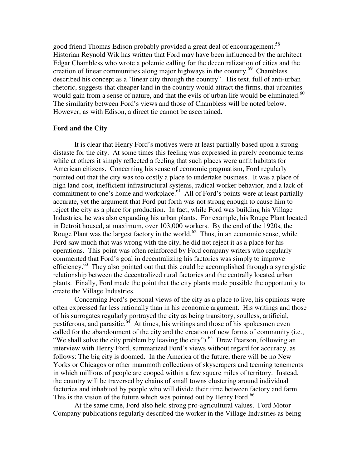good friend Thomas Edison probably provided a great deal of encouragement.<sup>58</sup> Historian Reynold Wik has written that Ford may have been influenced by the architect Edgar Chambless who wrote a polemic calling for the decentralization of cities and the creation of linear communities along major highways in the country.<sup>59</sup> Chambless described his concept as a "linear city through the country". His text, full of anti-urban rhetoric, suggests that cheaper land in the country would attract the firms, that urbanites would gain from a sense of nature, and that the evils of urban life would be eliminated.<sup>60</sup> The similarity between Ford's views and those of Chambless will be noted below. However, as with Edison, a direct tie cannot be ascertained.

#### **Ford and the City**

 It is clear that Henry Ford's motives were at least partially based upon a strong distaste for the city. At some times this feeling was expressed in purely economic terms while at others it simply reflected a feeling that such places were unfit habitats for American citizens. Concerning his sense of economic pragmatism, Ford regularly pointed out that the city was too costly a place to undertake business. It was a place of high land cost, inefficient infrastructural systems, radical worker behavior, and a lack of commitment to one's home and workplace. $61$  All of Ford's points were at least partially accurate, yet the argument that Ford put forth was not strong enough to cause him to reject the city as a place for production. In fact, while Ford was building his Village Industries, he was also expanding his urban plants. For example, his Rouge Plant located in Detroit housed, at maximum, over 103,000 workers. By the end of the 1920s, the Rouge Plant was the largest factory in the world.<sup>62</sup> Thus, in an economic sense, while Ford saw much that was wrong with the city, he did not reject it as a place for his operations. This point was often reinforced by Ford company writers who regularly commented that Ford's goal in decentralizing his factories was simply to improve efficiency.<sup>63</sup> They also pointed out that this could be accomplished through a synergistic relationship between the decentralized rural factories and the centrally located urban plants. Finally, Ford made the point that the city plants made possible the opportunity to create the Village Industries.

 Concerning Ford's personal views of the city as a place to live, his opinions were often expressed far less rationally than in his economic argument. His writings and those of his surrogates regularly portrayed the city as being transitory, soulless, artificial, pestiferous, and parasitic.<sup>64</sup> At times, his writings and those of his spokesmen even called for the abandonment of the city and the creation of new forms of community (i.e., "We shall solve the city problem by leaving the city").<sup>65</sup> Drew Pearson, following an interview with Henry Ford, summarized Ford's views without regard for accuracy, as follows: The big city is doomed. In the America of the future, there will be no New Yorks or Chicagos or other mammoth collections of skyscrapers and teeming tenements in which millions of people are cooped within a few square miles of territory. Instead, the country will be traversed by chains of small towns clustering around individual factories and inhabited by people who will divide their time between factory and farm. This is the vision of the future which was pointed out by Henry Ford.<sup>66</sup>

 At the same time, Ford also held strong pro-agricultural values. Ford Motor Company publications regularly described the worker in the Village Industries as being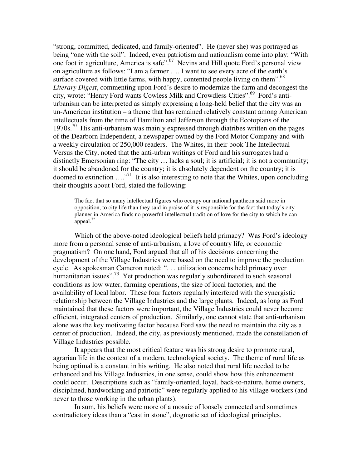"strong, committed, dedicated, and family-oriented". He (never she) was portrayed as being "one with the soil". Indeed, even patriotism and nationalism come into play: "With one foot in agriculture, America is safe".<sup>67</sup> Nevins and Hill quote Ford's personal view on agriculture as follows: "I am a farmer …. I want to see every acre of the earth's surface covered with little farms, with happy, contented people living on them". $^{68}$ *Literary Digest*, commenting upon Ford's desire to modernize the farm and decongest the city, wrote: "Henry Ford wants Cowless Milk and Crowdless Cities".<sup>69</sup> Ford's antiurbanism can be interpreted as simply expressing a long-held belief that the city was an un-American institution – a theme that has remained relatively constant among American intellectuals from the time of Hamilton and Jefferson through the Ecotopians of the  $1970s$ <sup>70</sup> His anti-urbanism was mainly expressed through diatribes written on the pages of the Dearborn Independent, a newspaper owned by the Ford Motor Company and with a weekly circulation of 250,000 readers. The Whites, in their book The Intellectual Versus the City, noted that the anti-urban writings of Ford and his surrogates had a distinctly Emersonian ring: "The city … lacks a soul; it is artificial; it is not a community; it should be abandoned for the country; it is absolutely dependent on the country; it is doomed to extinction  $\ldots$ <sup>71</sup>. It is also interesting to note that the Whites, upon concluding their thoughts about Ford, stated the following:

The fact that so many intellectual figures who occupy our national pantheon said more in opposition, to city life than they said in praise of it is responsible for the fact that today's city planner in America finds no powerful intellectual tradition of love for the city to which he can appeal.<sup>72</sup>

 Which of the above-noted ideological beliefs held primacy? Was Ford's ideology more from a personal sense of anti-urbanism, a love of country life, or economic pragmatism? On one hand, Ford argued that all of his decisions concerning the development of the Village Industries were based on the need to improve the production cycle. As spokesman Cameron noted: ". . . utilization concerns held primacy over humanitarian issues".<sup>73</sup> Yet production was regularly subordinated to such seasonal conditions as low water, farming operations, the size of local factories, and the availability of local labor. These four factors regularly interfered with the synergistic relationship between the Village Industries and the large plants. Indeed, as long as Ford maintained that these factors were important, the Village Industries could never become efficient, integrated centers of production. Similarly, one cannot state that anti-urbanism alone was the key motivating factor because Ford saw the need to maintain the city as a center of production. Indeed, the city, as previously mentioned, made the constellation of Village Industries possible.

 It appears that the most critical feature was his strong desire to promote rural, agrarian life in the context of a modern, technological society. The theme of rural life as being optimal is a constant in his writing. He also noted that rural life needed to be enhanced and his Village Industries, in one sense, could show how this enhancement could occur. Descriptions such as "family-oriented, loyal, back-to-nature, home owners, disciplined, hardworking and patriotic" were regularly applied to his village workers (and never to those working in the urban plants).

 In sum, his beliefs were more of a mosaic of loosely connected and sometimes contradictory ideas than a "cast in stone", dogmatic set of ideological principles.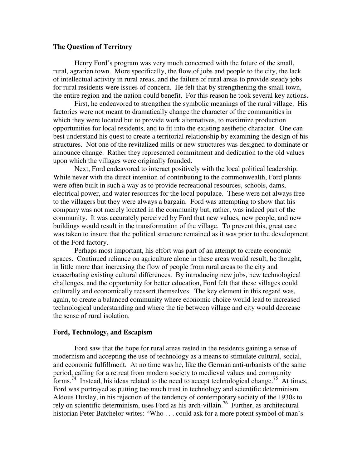#### **The Question of Territory**

 Henry Ford's program was very much concerned with the future of the small, rural, agrarian town. More specifically, the flow of jobs and people to the city, the lack of intellectual activity in rural areas, and the failure of rural areas to provide steady jobs for rural residents were issues of concern. He felt that by strengthening the small town, the entire region and the nation could benefit. For this reason he took several key actions.

 First, he endeavored to strengthen the symbolic meanings of the rural village. His factories were not meant to dramatically change the character of the communities in which they were located but to provide work alternatives, to maximize production opportunities for local residents, and to fit into the existing aesthetic character. One can best understand his quest to create a territorial relationship by examining the design of his structures. Not one of the revitalized mills or new structures was designed to dominate or announce change. Rather they represented commitment and dedication to the old values upon which the villages were originally founded.

 Next, Ford endeavored to interact positively with the local political leadership. While never with the direct intention of contributing to the commonwealth, Ford plants were often built in such a way as to provide recreational resources, schools, dams, electrical power, and water resources for the local populace. These were not always free to the villagers but they were always a bargain. Ford was attempting to show that his company was not merely located in the community but, rather, was indeed part of the community. It was accurately perceived by Ford that new values, new people, and new buildings would result in the transformation of the village. To prevent this, great care was taken to insure that the political structure remained as it was prior to the development of the Ford factory.

 Perhaps most important, his effort was part of an attempt to create economic spaces. Continued reliance on agriculture alone in these areas would result, he thought, in little more than increasing the flow of people from rural areas to the city and exacerbating existing cultural differences. By introducing new jobs, new technological challenges, and the opportunity for better education, Ford felt that these villages could culturally and economically reassert themselves. The key element in this regard was, again, to create a balanced community where economic choice would lead to increased technological understanding and where the tie between village and city would decrease the sense of rural isolation.

#### **Ford, Technology, and Escapism**

 Ford saw that the hope for rural areas rested in the residents gaining a sense of modernism and accepting the use of technology as a means to stimulate cultural, social, and economic fulfillment. At no time was he, like the German anti-urbanists of the same period, calling for a retreat from modern society to medieval values and community forms.<sup>74</sup> Instead, his ideas related to the need to accept technological change.<sup>75</sup> At times, Ford was portrayed as putting too much trust in technology and scientific determinism. Aldous Huxley, in his rejection of the tendency of contemporary society of the 1930s to rely on scientific determinism, uses Ford as his arch-villain.<sup>76</sup> Further, as architectural historian Peter Batchelor writes: "Who . . . could ask for a more potent symbol of man's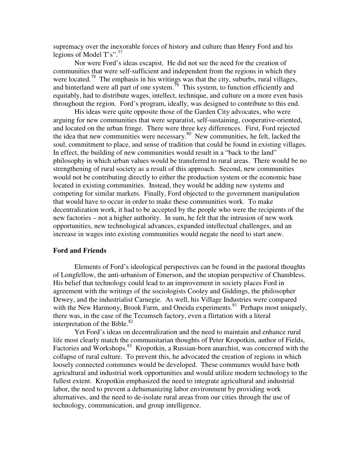supremacy over the inexorable forces of history and culture than Henry Ford and his legions of Model  $T's$ ".<sup>77</sup>

 Nor were Ford's ideas escapist. He did not see the need for the creation of communities that were self-sufficient and independent from the regions in which they were located.<sup>78</sup> The emphasis in his writings was that the city, suburbs, rural villages, and hinterland were all part of one system.<sup>79</sup> This system, to function efficiently and equitably, had to distribute wages, intellect, technique, and culture on a more even basis throughout the region. Ford's program, ideally, was designed to contribute to this end.

 His ideas were quite opposite those of the Garden City advocates, who were arguing for new communities that were separatist, self-sustaining, cooperative-oriented, and located on the urban fringe. There were three key differences. First, Ford rejected the idea that new communities were necessary.<sup>80</sup> New communities, he felt, lacked the soul, commitment to place, and sense of tradition that could be found in existing villages. In effect, the building of new communities would result in a "back to the land" philosophy in which urban values would be transferred to rural areas. There would be no strengthening of rural society as a result of this approach. Second, new communities would not be contributing directly to either the production system or the economic base located in existing communities. Instead, they would be adding new systems and competing for similar markets. Finally, Ford objected to the government manipulation that would have to occur in order to make these communities work. To make decentralization work, it had to be accepted by the people who were the recipients of the new factories – not a higher authority. In sum, he felt that the intrusion of new work opportunities, new technological advances, expanded intellectual challenges, and an increase in wages into existing communities would negate the need to start anew.

#### **Ford and Friends**

 Elements of Ford's ideological perspectives can be found in the pastoral thoughts of Longfellow, the anti-urbanism of Emerson, and the utopian perspective of Chambless. His belief that technology could lead to an improvement in society places Ford in agreement with the writings of the sociologists Cooley and Giddings, the philosopher Dewey, and the industrialist Carnegie. As well, his Village Industries were compared with the New Harmony, Brook Farm, and Oneida experiments.<sup>81</sup> Perhaps most uniquely, there was, in the case of the Tecumseh factory, even a flirtation with a literal interpretation of the Bible. $82$ 

 Yet Ford's ideas on decentralization and the need to maintain and enhance rural life most clearly match the communitarian thoughts of Peter Kropotkin, author of Fields, Factories and Workshops.<sup>83</sup> Kropotkin, a Russian-born anarchist, was concerned with the collapse of rural culture. To prevent this, he advocated the creation of regions in which loosely connected communes would be developed. These communes would have both agricultural and industrial work opportunities and would utilize modern technology to the fullest extent. Kropotkin emphasized the need to integrate agricultural and industrial labor, the need to prevent a dehumanizing labor environment by providing work alternatives, and the need to de-isolate rural areas from our cities through the use of technology, communication, and group intelligence.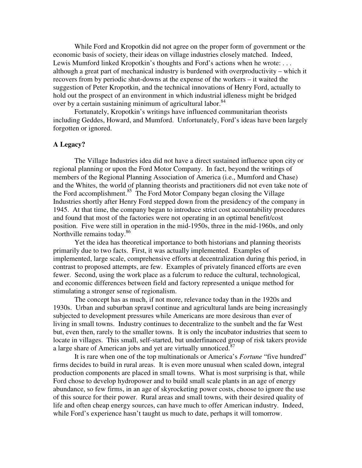While Ford and Kropotkin did not agree on the proper form of government or the economic basis of society, their ideas on village industries closely matched. Indeed, Lewis Mumford linked Kropotkin's thoughts and Ford's actions when he wrote: . . . although a great part of mechanical industry is burdened with overproductivity – which it recovers from by periodic shut-downs at the expense of the workers – it waited the suggestion of Peter Kropotkin, and the technical innovations of Henry Ford, actually to hold out the prospect of an environment in which industrial idleness might be bridged over by a certain sustaining minimum of agricultural labor.<sup>84</sup>

 Fortunately, Kropotkin's writings have influenced communitarian theorists including Geddes, Howard, and Mumford. Unfortunately, Ford's ideas have been largely forgotten or ignored.

#### **A Legacy?**

 The Village Industries idea did not have a direct sustained influence upon city or regional planning or upon the Ford Motor Company. In fact, beyond the writings of members of the Regional Planning Association of America (i.e., Mumford and Chase) and the Whites, the world of planning theorists and practitioners did not even take note of the Ford accomplishment.<sup>85</sup> The Ford Motor Company began closing the Village Industries shortly after Henry Ford stepped down from the presidency of the company in 1945. At that time, the company began to introduce strict cost accountability procedures and found that most of the factories were not operating in an optimal benefit/cost position. Five were still in operation in the mid-1950s, three in the mid-1960s, and only Northville remains today.<sup>86</sup>

 Yet the idea has theoretical importance to both historians and planning theorists primarily due to two facts. First, it was actually implemented. Examples of implemented, large scale, comprehensive efforts at decentralization during this period, in contrast to proposed attempts, are few. Examples of privately financed efforts are even fewer. Second, using the work place as a fulcrum to reduce the cultural, technological, and economic differences between field and factory represented a unique method for stimulating a stronger sense of regionalism.

 The concept has as much, if not more, relevance today than in the 1920s and 1930s. Urban and suburban sprawl continue and agricultural lands are being increasingly subjected to development pressures while Americans are more desirous than ever of living in small towns. Industry continues to decentralize to the sunbelt and the far West but, even then, rarely to the smaller towns. It is only the incubator industries that seem to locate in villages. This small, self-started, but underfinanced group of risk takers provide a large share of American jobs and yet are virtually unnoticed.<sup>87</sup>

 It is rare when one of the top multinationals or America's *Fortune* "five hundred" firms decides to build in rural areas. It is even more unusual when scaled down, integral production components are placed in small towns. What is most surprising is that, while Ford chose to develop hydropower and to build small scale plants in an age of energy abundance, so few firms, in an age of skyrocketing power costs, choose to ignore the use of this source for their power. Rural areas and small towns, with their desired quality of life and often cheap energy sources, can have much to offer American industry. Indeed, while Ford's experience hasn't taught us much to date, perhaps it will tomorrow.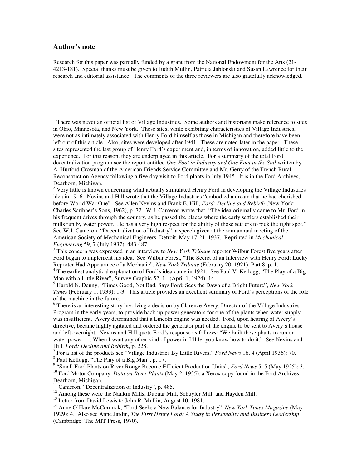#### **Author's note**

<u>.</u>

Research for this paper was partially funded by a grant from the National Endowment for the Arts (21- 4213-181). Special thanks must be given to Judith Mullin, Patricia Jablonski and Susan Lawrence for their research and editorial assistance. The comments of the three reviewers are also gratefully acknowledged.

7 For a list of the products see "Village Industries By Little Rivers," *Ford News* 16, 4 (April 1936): 70. <sup>8</sup> Paul Kellogg, "The Play of a Big Man", p. 17.

9 "Small Ford Plants on River Rouge Become Efficient Production Units", *Ford News* 5, 5 (May 1925): 3.

<sup>10</sup> Ford Motor Company, *Data on River Plants* (May 2, 1935), a Xerox copy found in the Ford Archives, Dearborn, Michigan.

<sup>11</sup> Cameron, "Decentralization of Industry", p. 485.

<sup>12</sup> Among these were the Nankin Mills, Dubuar Mill, Schuyler Mill, and Hayden Mill.

<sup>13</sup> Letter from David Lewis to John R. Mullin, August 10, 1981.

<sup>&</sup>lt;sup>1</sup> There was never an official list of Village Industries. Some authors and historians make reference to sites in Ohio, Minnesota, and New York. These sites, while exhibiting characteristics of Village Industries, were not as intimately associated with Henry Ford himself as those in Michigan and therefore have been left out of this article. Also, sites were developed after 1941. These are noted later in the paper. These sites represented the last group of Henry Ford's experiment and, in terms of innovation, added little to the experience. For this reason, they are underplayed in this article. For a summary of the total Ford decentralization program see the report entitled *One Foot in Industry and One Foot in the Soil* written by A. Hurford Crosman of the American Friends Service Committee and Mr. Gerry of the French Rural Reconstruction Agency following a five day visit to Ford plants in July 1945. It is in the Ford Archives, Dearborn, Michigan.

 $2$  Very little is known concerning what actually stimulated Henry Ford in developing the Village Industries idea in 1916. Nevins and Hill wrote that the Village Industries "embodied a dream that he had cherished before World War One". See Allen Nevins and Frank E. Hill, *Ford: Decline and Rebirth* (New York: Charles Scribner's Sons, 1962), p. 72. W.J. Cameron wrote that: "The idea originally came to Mr. Ford in his frequent drives through the country, as he passed the places where the early settlers established their mills run by water power. He has a very high respect for the ability of those settlers to pick the right spot." See W.J. Cameron, "Decentralization of Industry", a speech given at the semiannual meeting of the American Society of Mechanical Engineers, Detroit, May 17-21, 1937. Reprinted in *Mechanical Engineering* 59, 7 (July 1937): 483-487.

<sup>&</sup>lt;sup>3</sup> This concern was expressed in an interview to *New York Tribune* reporter Wilbur Forest five years after Ford began to implement his idea. See Wilbur Forest, "The Secret of an Interview with Henry Ford: Lucky Reporter Had Appearance of a Mechanic", *New York Tribune* (February 20, 1921), Part 8, p. 1.

<sup>&</sup>lt;sup>4</sup> The earliest analytical explanation of Ford's idea came in 1924. See Paul V. Kellogg, "The Play of a Big Man with a Little River", Survey Graphic 52, 1. (April 1, 1924): 14.

<sup>5</sup> Harold N. Denny, "Times Good, Not Bad, Says Ford; Sees the Dawn of a Bright Future", *New York Times* (February 1, 1933): 1-3. This article provides an excellent summary of Ford's perceptions of the role of the machine in the future.

<sup>&</sup>lt;sup>6</sup> There is an interesting story involving a decision by Clarence Avery, Director of the Village Industries Program in the early years, to provide back-up power generators for one of the plants when water supply was insufficient. Avery determined that a Lincoln engine was needed. Ford, upon hearing of Avery's directive, became highly agitated and ordered the generator part of the engine to be sent to Avery's house and left overnight. Nevins and Hill quote Ford's response as follows: "We built these plants to run on water power .... When I want any other kind of power in I'll let you know how to do it." See Nevins and Hill, *Ford: Decline and Rebirth*, p. 228.

<sup>&</sup>lt;sup>14</sup> Anne O'Hare McCormick, "Ford Seeks a New Balance for Industry", *New York Times Magazine* (May 1929): 4. Also see Anne Jardin, *The First Henry Ford: A Study in Personality and Business Leadership* (Cambridge: The MIT Press, 1970).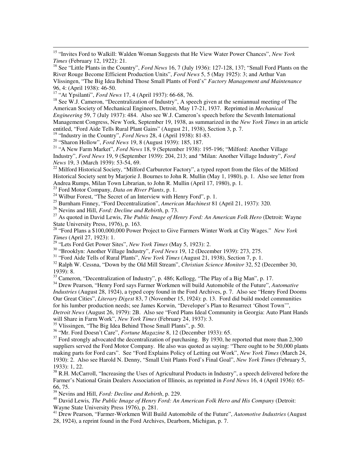<sup>15</sup> "Invites Ford to Walkill: Walden Woman Suggests that He View Water Power Chances", *New York Times* (February 12, 1922): 21.

<sup>16</sup> See "Little Plants in the Country", *Ford News* 16, 7 (July 1936): 127-128, 137; "Small Ford Plants on the River Rouge Become Efficient Production Units", *Ford News* 5, 5 (May 1925): 3; and Arthur Van Vlissingen, "The Big Idea Behind Those Small Plants of Ford's" *Factory Management and Maintenance* 96, 4: (April 1938): 46-50.

<sup>17</sup> "At Ypsilanti", *Ford News* 17, 4 (April 1937): 66-68, 76.

 $\overline{a}$ 

<sup>18</sup> See W.J. Cameron, "Decentralization of Industry", A speech given at the semiannual meeting of The American Society of Mechanical Engineers, Detroit, May 17-21, 1937. Reprinted in *Mechanical Engineering* 59, 7 (July 1937): 484. Also see W.J. Cameron's speech before the Seventh International Management Congress, New York, September 19, 1938, as summarized in the *New York Times* in an article entitled, "Ford Aide Tells Rural Plant Gains" (August 21, 1938), Section 3, p. 7.

<sup>19</sup> "Industry in the Country", *Ford News* 28, 4 (April 1938): 81-83.

<sup>20</sup> "Sharon Hollow", *Ford News* 19, 8 (August 1939): 185, 187.

<sup>21</sup> "A New Farm Market", *Ford News* 18, 9 (September 1938): 195-196; "Milford: Another Village Industry", *Ford News* 19, 9 (September 1939): 204, 213; and "Milan: Another Village Industry", *Ford News* 19, 3 (March 1939): 53-54, 69.

 $^{22}$  Milford Historical Society, "Milford Carburetor Factory", a typed report from the files of the Milford Historical Society sent by Marjorie J. Bournes to John R. Mullin (May 1, 1980), p. 1. Also see letter from Andrea Rumps, Milan Town Librarian, to John R. Mullin (April 17, 1980), p. 1.

<sup>23</sup> Ford Motor Company, *Data on River Plants*, p. 1.

<sup>24</sup> Wilbur Forest, "The Secret of an Interview with Henry Ford", p. 1.

<sup>25</sup> Burnham Finney, "Ford Decentralization", *American Machinest* 81 (April 21, 1937): 320.

<sup>26</sup> Nevins and Hill, *Ford: Decline and Rebirth*, p. 73.

<sup>27</sup> As quoted in David Lewis, *The Public Image of Henry Ford: An American Folk Hero* (Detroit: Wayne State University Press, 1976), p. 163.

<sup>28</sup> "Ford Plans a \$100,000,000 Power Project to Give Farmers Winter Work at City Wages." *New York Times* (April 27, 1923): 1.

<sup>29</sup> "Lets Ford Get Power Sites", *New York Times* (May 5, 1923): 2.

<sup>30</sup> "Brooklyn: Another Village Industry", *Ford News* 19, 12 (December 1939): 273, 275.

<sup>31</sup> "Ford Aide Tells of Rural Plants", *New York Times* (August 21, 1938), Section 7, p. 1.

<sup>32</sup> Ralph W. Cessna, "Down by the Old Mill Stream", *Christian Science Monitor* 32, 52 (December 30, 1939): 8.

 $33$  Cameron, "Decentralization of Industry", p. 486; Kellogg, "The Play of a Big Man", p. 17.

<sup>34</sup> Drew Pearson, "Henry Ford says Farmer Workmen will build Automobile of the Future", *Automative Industries* (August 28, 1924), a typed copy found in the Ford Archives, p. 7. Also see "Henry Ford Dooms Our Great Cities", *Literary Digest* 83, 7 (November 15, 1924): p. 13. Ford did build model communities for his lumber production needs; see James Korwin, "Developer's Plan to Resurrect 'Ghost Town'", *Detroit News* (August 26, 1979): 2B. Also see "Ford Plans Ideal Community in Georgia: Auto Plant Hands will Share in Farm Work", *New York Times* (February 24, 1937): 3.

<sup>35</sup> Vlissingen, "The Big Idea Behind Those Small Plants", p. 50.

<sup>36</sup> "Mr. Ford Doesn't Care", *Fortune Magazine* 8, 12 (December 1933): 65.

 $37$  Ford strongly advocated the decentralization of purchasing. By 1930, he reported that more than 2,300 suppliers served the Ford Motor Company. He also was quoted as saying: "There ought to be 50,000 plants making parts for Ford cars". See "Ford Explains Policy of Letting out Work", *New York Times* (March 24, 1930): 2. Also see Harold N. Denny, "Small Unit Plants Ford's Final Goal", *New York Times* (February 5, 1933): 1, 22.

 $38$  R.H. McCarroll, "Increasing the Uses of Agricultural Products in Industry", a speech delivered before the Farmer's National Grain Dealers Association of Illinois, as reprinted in *Ford News* 16, 4 (April 1936): 65- 66, 75.

<sup>39</sup> Nevins and Hill, *Ford: Decline and Rebirth*, p. 229.

<sup>40</sup> David Lewis*, The Public Image of Henry Ford: An American Folk Hero and His Company* (Detroit: Wayne State University Press 1976), p. 281.

<sup>41</sup> Drew Pearson, "Farmer-Workmen Will Build Automobile of the Future", *Automotive Industries* (August 28, 1924), a reprint found in the Ford Archives, Dearborn, Michigan, p. 7.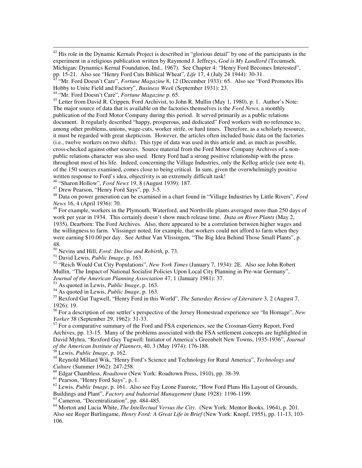$42$  His role in the Dynamic Kernals Project is described in "glorious detail" by one of the participants in the experiment in a religious publication written by Raymond J. Jeffreys, *God is My Landlord* (Tecumseh, Michigan: Dynamics Kernal Foundation, Ind., 1967). See Chapter 4: "Henry Ford Becomes Interested", pp. 15-21. Also see "Henry Ford Cuts Biblical Wheat", *Life* 17, 4 (July 24 1944): 30-31.

 $\overline{a}$ 

<sup>45</sup> Letter from David R. Crippen, Ford Archivist, to John R. Mullin (May 1, 1980), p. 1. Author's Note: The major source of data that is available on the factories themselves is the *Ford News*, a monthly publication of the Ford Motor Company during this period. It served primarily as a public relations document. It regularly described "happy, prosperous, and dedicated" Ford workers with no reference to, among other problems, unions, wage-cuts, worker strife, or hard times. Therefore, as a scholarly resource, it must be regarded with great skepticism. However, the articles often included basic data on the factories (i.e., twelve workers on two shifts). This type of data was used in this article and, as much as possible, cross-checked against other sources. Source material from the Ford Motor Company Archives of a nonpublic relations character was also used. Henry Ford had a strong positive relationship with the press throughout most of his life. Indeed, concerning the Village Industries, only the Kellog article (see note 4), of the 150 sources examined, comes close to being critical. In sum, given the overwhelmingly positive written response to Ford's idea, objectivity is an extremely difficult task!

<sup>46</sup> "Sharon Hollow", *Ford News* 19, 8 (August 1939): 187.

 $47$  Drew Pearson, "Henry Ford Says", pp.  $3-5$ .

<sup>48</sup> Data on power generation can be examined in a chart found in "Village Industries by Little Rivers", *Ford News* 16, 4 (April 1936): 70.

 $49$  For example, workers in the Plymouth, Waterford, and Northville plants averaged more than 250 days of work per year in 1934. This certainly doesn't show much release time. *Data on River Plants* (May 2, 1935), Dearborn: The Ford Archives. Also, there appeared to be a correlation between higher wages and the willingness to farm. Vlissinger noted, for example, that workers could not afford to farm when they were earning \$10.00 per day. See Arthur Van Vlissingen, "The Big Idea Behind Those Small Plants", p. 48.

<sup>50</sup> Nevins and Hill, *Ford: Decline and Rebirth*, p. 73.

<sup>51</sup> David Lewis, *Public Image*, p. 163.

<sup>52</sup> "Reich Would Cut City Populations", *New York Times* (January 7, 1934): 2E. Also see John Robert Mullin, "The Impact of National Socialist Policies Upon Local City Planning in Pre-war Germany", *Journal of the American Planning Association* 47, 1 (January 1981): 37.

<sup>53</sup> As quoted in Lewis, *Public Image*, p. 163.

<sup>54</sup> As quoted in Lewis, *Public Image*, p. 163.

<sup>55</sup> Rexford Gut Tugwell, "Henry Ford in this World", *The Saturday Review of Literature* 3, 2 (August 7, 1926): 19.

<sup>56</sup> For a description of one settler's perspective of the Jersey Homestead experience see "In Homage", *New Yorker* 38 (September 29, 1962): 31-33.

 $57$  For a comparative summary of the Ford and FSA experiences, see the Crosman-Gerry Report, Ford Archives, pp. 13-15. Many of the problems associated with the FSA settlement concepts are highlighted in David Myhra, "Rexford Guy Tugwell: Initiator of America's Greenbelt New Towns, 1935-1936", *Journal of the American Institute of Planners*, 40, 3 (May 1974): 176-188.

<sup>58</sup> Lewis, *Public Image*, p. 162.

<sup>59</sup> Reynold Millard Wik, "Henry Ford's Science and Technology for Rural America", *Technology and Culture* (Summer 1962): 247-258.

<sup>60</sup> Edgar Chambless, *Roadtown* (New York: Roadtown Press, 1910), pp. 38-39.

<sup>61</sup> Pearson, "Henry Ford Says", p. 1.

<sup>62</sup> Lewis, *Public Image*, p. 161. Also see Fay Leone Faurote, "How Ford Plans His Layout of Grounds, Buildings and Plant", *Factory and Industrial Management* (June 1928): 1196-1199.

<sup>63</sup> Cameron, "Decentralization", pp. 484-485.

<sup>64</sup> Morton and Lucia White, *The Intellectual Versus the City*. (New York: Mentor Books, 1964), p. 201. Also see Roger Burlingame, *Henry Ford: A Great Life in Brief* (New York: Knopf, 1955), pp. 11-13, 103- 106.

<sup>&</sup>lt;sup>3</sup> "Mr. Ford Doesn't Care", *Fortune Magazine* 8, 12 (December 1933): 65. Also see "Ford Promotes His Hobby to Unite Field and Factory", *Business Week* (September 1931): 23.

<sup>44</sup> "Mr. Ford Doesn't Care", *Fortune Magazine* p. 65.